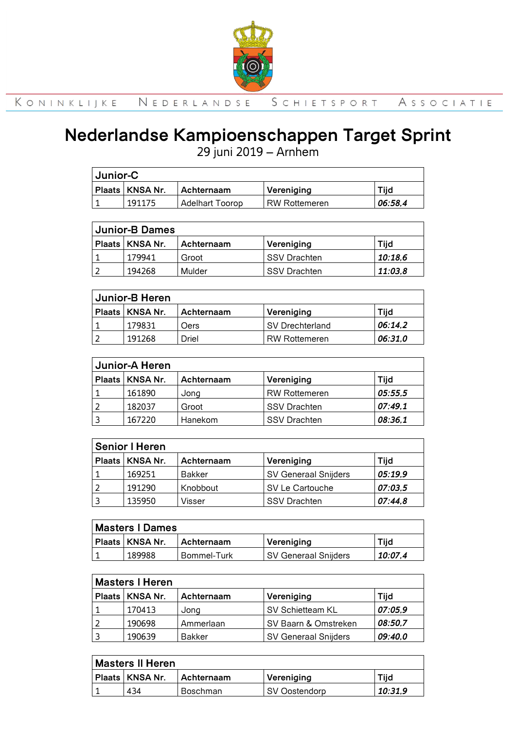

### **Nederlandse Kampioenschappen Target Sprint**

29 juni 2019 – Arnhem

| Junior-C                                                      |        |                 |               |         |  |
|---------------------------------------------------------------|--------|-----------------|---------------|---------|--|
| <b>Plaats   KNSA Nr.</b><br><b>I Achternaam</b><br>Vereniging |        |                 |               | Tiia    |  |
|                                                               | 191175 | Adelhart Toorop | RW Rottemeren | 06:58.4 |  |

| <b>Junior-B Dames</b> |                   |            |                     |         |  |
|-----------------------|-------------------|------------|---------------------|---------|--|
|                       | Plaats   KNSA Nr. | Achternaam | Vereniging          | Tiid    |  |
|                       | 179941            | Groot      | ISSV Drachten       | 10:18.6 |  |
|                       | 194268            | Mulder     | <b>SSV Drachten</b> | 11:03.8 |  |

| Junior-B Heren                                        |        |       |                      |         |  |
|-------------------------------------------------------|--------|-------|----------------------|---------|--|
| Plaats   KNSA Nr.<br>Tiid<br>Vereniging<br>Achternaam |        |       |                      |         |  |
|                                                       | 179831 | Oers  | SV Drechterland      | 06:14.2 |  |
|                                                       | 191268 | Driel | <b>RW Rottemeren</b> | 06:31.0 |  |

| Junior-A Heren |                   |            |                      |         |  |
|----------------|-------------------|------------|----------------------|---------|--|
|                | Plaats   KNSA Nr. | Achternaam | Vereniging           | Tiid    |  |
|                | 161890            | Jong       | <b>RW Rottemeren</b> | 05:55,5 |  |
|                | 182037            | Groot      | <b>SSV Drachten</b>  | 07:49.1 |  |
|                | 167220            | Hanekom    | <b>SSV Drachten</b>  | 08:36,1 |  |

| Senior I Heren                                        |        |               |                             |         |  |
|-------------------------------------------------------|--------|---------------|-----------------------------|---------|--|
| Plaats   KNSA Nr.<br>Tiid<br>Vereniging<br>Achternaam |        |               |                             |         |  |
|                                                       | 169251 | <b>Bakker</b> | <b>SV Generaal Snijders</b> | 05:19.9 |  |
|                                                       | 191290 | Knobbout      | l SV Le Cartouche           | 07:03.5 |  |
|                                                       | 135950 | Visser        | <b>SSV Drachten</b>         | 07:44.8 |  |

| Masters   Dames                                              |        |             |                      |         |  |
|--------------------------------------------------------------|--------|-------------|----------------------|---------|--|
| Plaats   KNSA Nr.<br>Tiid<br><b>Achternaam</b><br>Vereniging |        |             |                      |         |  |
|                                                              | 189988 | Bommel-Turk | SV Generaal Snijders | 10:07.4 |  |

| <b>Masters I Heren</b>                                |        |               |                             |         |  |
|-------------------------------------------------------|--------|---------------|-----------------------------|---------|--|
| Plaats   KNSA Nr.<br>Tijd<br>Vereniging<br>Achternaam |        |               |                             |         |  |
|                                                       | 170413 | Jong          | SV Schietteam KL            | 07:05,9 |  |
|                                                       | 190698 | Ammerlaan     | SV Baarn & Omstreken        | 08:50.7 |  |
|                                                       | 190639 | <b>Bakker</b> | <b>SV Generaal Snijders</b> | 09:40.0 |  |

| Masters II Heren                                             |     |          |               |         |
|--------------------------------------------------------------|-----|----------|---------------|---------|
| Plaats   KNSA Nr.<br>Tiid<br>Vereniging<br><b>Achternaam</b> |     |          |               |         |
|                                                              | 434 | Boschman | SV Oostendorp | 10:31.9 |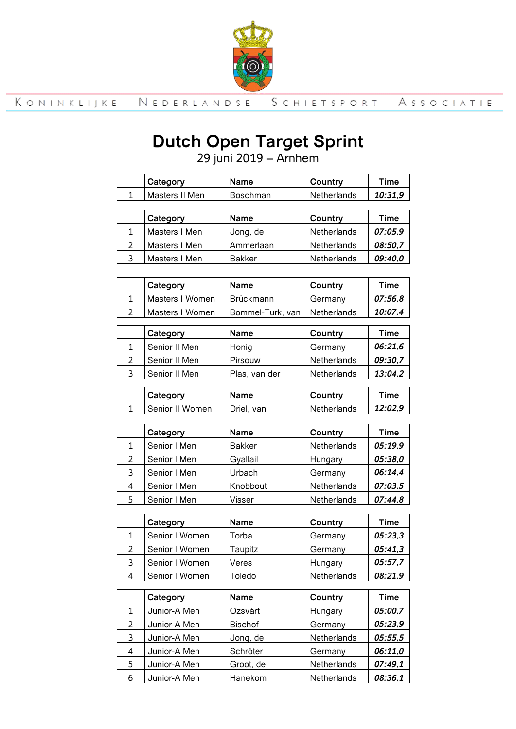

# **Dutch Open Target Sprint**

juni 2019 – Arnhem

|                         | Category        | Name             | Country     | <b>Time</b> |
|-------------------------|-----------------|------------------|-------------|-------------|
| $\mathbf{1}$            | Masters II Men  | Boschman         | Netherlands | 10:31,9     |
|                         |                 |                  |             |             |
|                         | Category        | <b>Name</b>      | Country     | <b>Time</b> |
| $\mathbf{1}$            | Masters I Men   | Jong, de         | Netherlands | 07:05,9     |
| $\overline{2}$          | Masters I Men   | Ammerlaan        | Netherlands | 08:50,7     |
| 3                       | Masters I Men   | <b>Bakker</b>    | Netherlands | 09:40,0     |
|                         |                 |                  |             |             |
|                         | Category        | Name             | Country     | <b>Time</b> |
| $\mathbf{1}$            | Masters I Women | Brückmann        | Germany     | 07:56,8     |
| $\overline{2}$          | Masters I Women | Bommel-Turk, van | Netherlands | 10:07,4     |
|                         |                 |                  |             |             |
|                         | Category        | Name             | Country     | <b>Time</b> |
| $\mathbf{1}$            | Senior II Men   | Honig            | Germany     | 06:21,6     |
| $\overline{2}$          | Senior II Men   | Pirsouw          | Netherlands | 09:30,7     |
| 3                       | Senior II Men   | Plas, van der    | Netherlands | 13:04,2     |
|                         |                 |                  |             |             |
|                         | Category        | Name             | Country     | <b>Time</b> |
| $\mathbf{1}$            | Senior II Women | Driel, van       | Netherlands | 12:02,9     |
|                         |                 |                  |             |             |
|                         | Category        | Name             | Country     | <b>Time</b> |
| $\mathbf{1}$            | Senior I Men    | <b>Bakker</b>    | Netherlands | 05:19,9     |
| $\overline{2}$          | Senior I Men    | Gyallail         | Hungary     | 05:38,0     |
| 3                       | Senior I Men    | Urbach           | Germany     | 06:14,4     |
| $\overline{\mathbf{4}}$ | Senior I Men    | Knobbout         | Netherlands | 07:03,5     |
| 5                       | Senior I Men    | Visser           | Netherlands | 07:44,8     |
|                         |                 |                  |             |             |
|                         | Category        | Name             | Country     | Time        |
| 1                       | Senior I Women  | Torba            | Germany     | 05:23,3     |
| $\overline{2}$          | Senior I Women  | Taupitz          | Germanv     | 05:41.3     |

| - | <u> Juliul I vvuliul</u> | .              | ---------   | .       |
|---|--------------------------|----------------|-------------|---------|
| 3 | Senior I Women           | Veres          | Hungary     | 05:57,7 |
| 4 | Senior I Women           | Toledo         | Netherlands | 08:21,9 |
|   |                          |                |             |         |
|   | Category                 | Name           | Country     | Time    |
| 1 | Junior-A Men             | Ozsvárt        | Hungary     | 05:00,7 |
| 2 | Junior-A Men             | <b>Bischof</b> | Germany     | 05:23,9 |
|   | Junior-A Men             | Jong, de       | Netherlands | 05:55.5 |

4 Junior-A Men Schröter Germany **06:11,0**  Junior-A Men Groot, de Netherlands *07:49,1* Junior-A Men Hanekom Netherlands *08:36,1*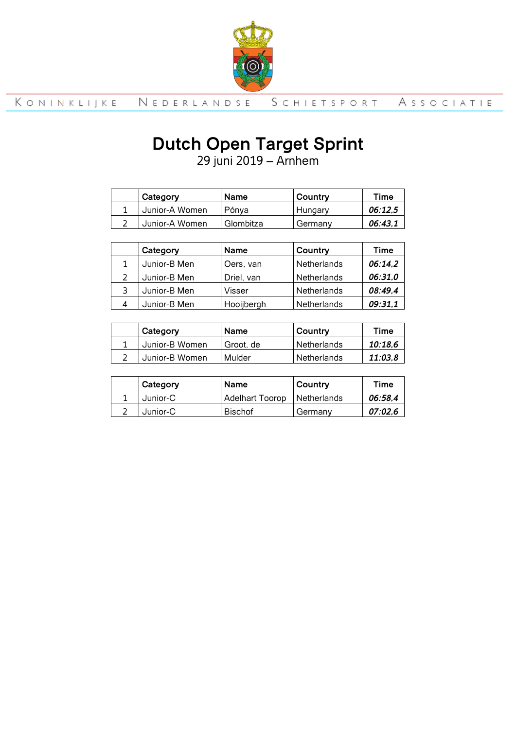

## **Dutch Open Target Sprint**

29 juni 2019 – Arnhem

| Category       | <b>Name</b> | Country | Time    |
|----------------|-------------|---------|---------|
| Junior-A Women | Pónva       | Hungary | 06:12.5 |
| Junior-A Women | Glombitza   | Germanv | 06:43.1 |

| Category     | <b>Name</b> | Country     | Time    |
|--------------|-------------|-------------|---------|
| Junior-B Men | Oers, van   | Netherlands | 06:14,2 |
| Junior-B Men | Driel, van  | Netherlands | 06:31,0 |
| Junior-B Men | Visser      | Netherlands | 08:49,4 |
| Junior-B Men | Hooijbergh  | Netherlands | 09:31,1 |

| Category       | Name      | Country     | Time    |
|----------------|-----------|-------------|---------|
| Junior-B Women | Groot, de | Netherlands | 10:18.6 |
| Junior-B Women | Mulder    | Netherlands | 11:03.8 |

| Category | <b>Name</b>     | Country       | Time    |
|----------|-----------------|---------------|---------|
| Junior-C | Adelhart Toorop | I Netherlands | 06:58.4 |
| Junior-C | <b>Bischof</b>  | Germany       | 07:02.6 |